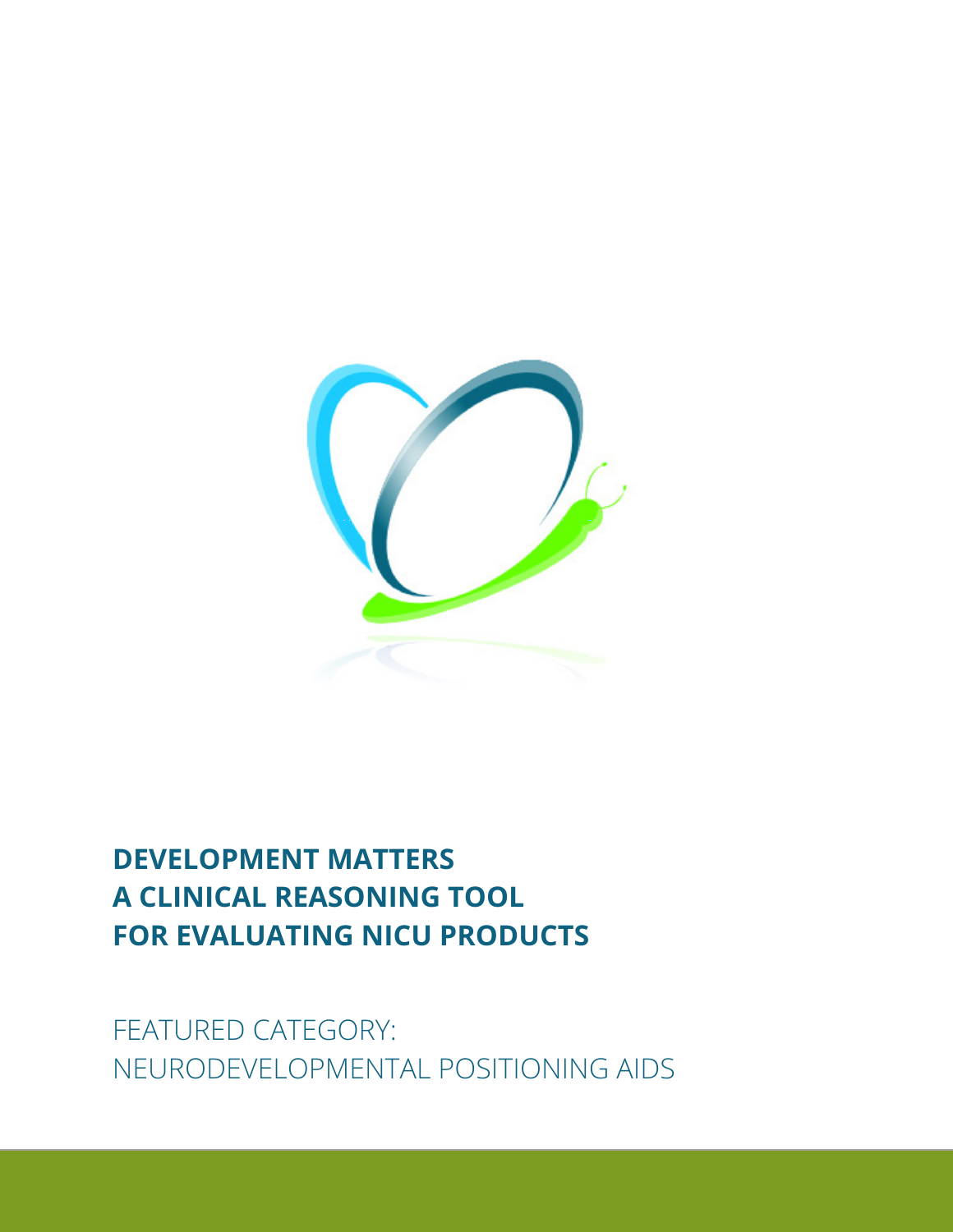

# **DEVELOPMENT MATTERS A CLINICAL REASONING TOOL FOR EVALUATING NICU PRODUCTS**

FEATURED CATEGORY: NEURODEVELOPMENTAL POSITIONING AIDS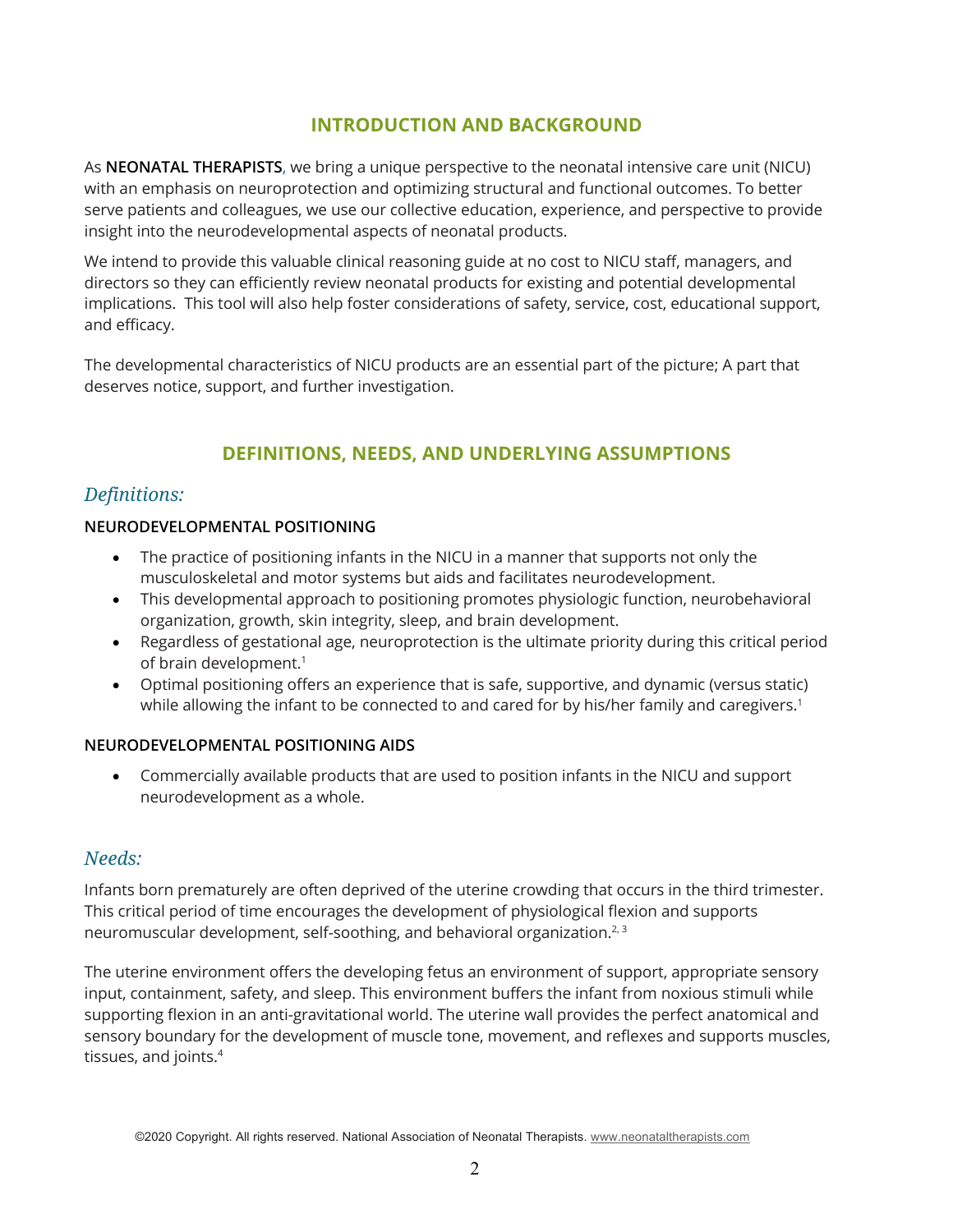# **INTRODUCTION AND BACKGROUND**

As **NEONATAL THERAPISTS**, we bring a unique perspective to the neonatal intensive care unit (NICU) with an emphasis on neuroprotection and optimizing structural and functional outcomes. To better serve patients and colleagues, we use our collective education, experience, and perspective to provide insight into the neurodevelopmental aspects of neonatal products.

We intend to provide this valuable clinical reasoning guide at no cost to NICU staff, managers, and directors so they can efficiently review neonatal products for existing and potential developmental implications. This tool will also help foster considerations of safety, service, cost, educational support, and efficacy.

The developmental characteristics of NICU products are an essential part of the picture; A part that deserves notice, support, and further investigation.

# **DEFINITIONS, NEEDS, AND UNDERLYING ASSUMPTIONS**

# *Definitions:*

## **NEURODEVELOPMENTAL POSITIONING**

- The practice of positioning infants in the NICU in a manner that supports not only the musculoskeletal and motor systems but aids and facilitates neurodevelopment.
- This developmental approach to positioning promotes physiologic function, neurobehavioral organization, growth, skin integrity, sleep, and brain development.
- Regardless of gestational age, neuroprotection is the ultimate priority during this critical period of brain development.<sup>1</sup>
- Optimal positioning offers an experience that is safe, supportive, and dynamic (versus static) while allowing the infant to be connected to and cared for by his/her family and caregivers.<sup>1</sup>

## **NEURODEVELOPMENTAL POSITIONING AIDS**

• Commercially available products that are used to position infants in the NICU and support neurodevelopment as a whole.

## *Needs:*

Infants born prematurely are often deprived of the uterine crowding that occurs in the third trimester. This critical period of time encourages the development of physiological flexion and supports neuromuscular development, self-soothing, and behavioral organization. 2, 3

The uterine environment offers the developing fetus an environment of support, appropriate sensory input, containment, safety, and sleep. This environment buffers the infant from noxious stimuli while supporting flexion in an anti-gravitational world. The uterine wall provides the perfect anatomical and sensory boundary for the development of muscle tone, movement, and reflexes and supports muscles, tissues, and joints. 4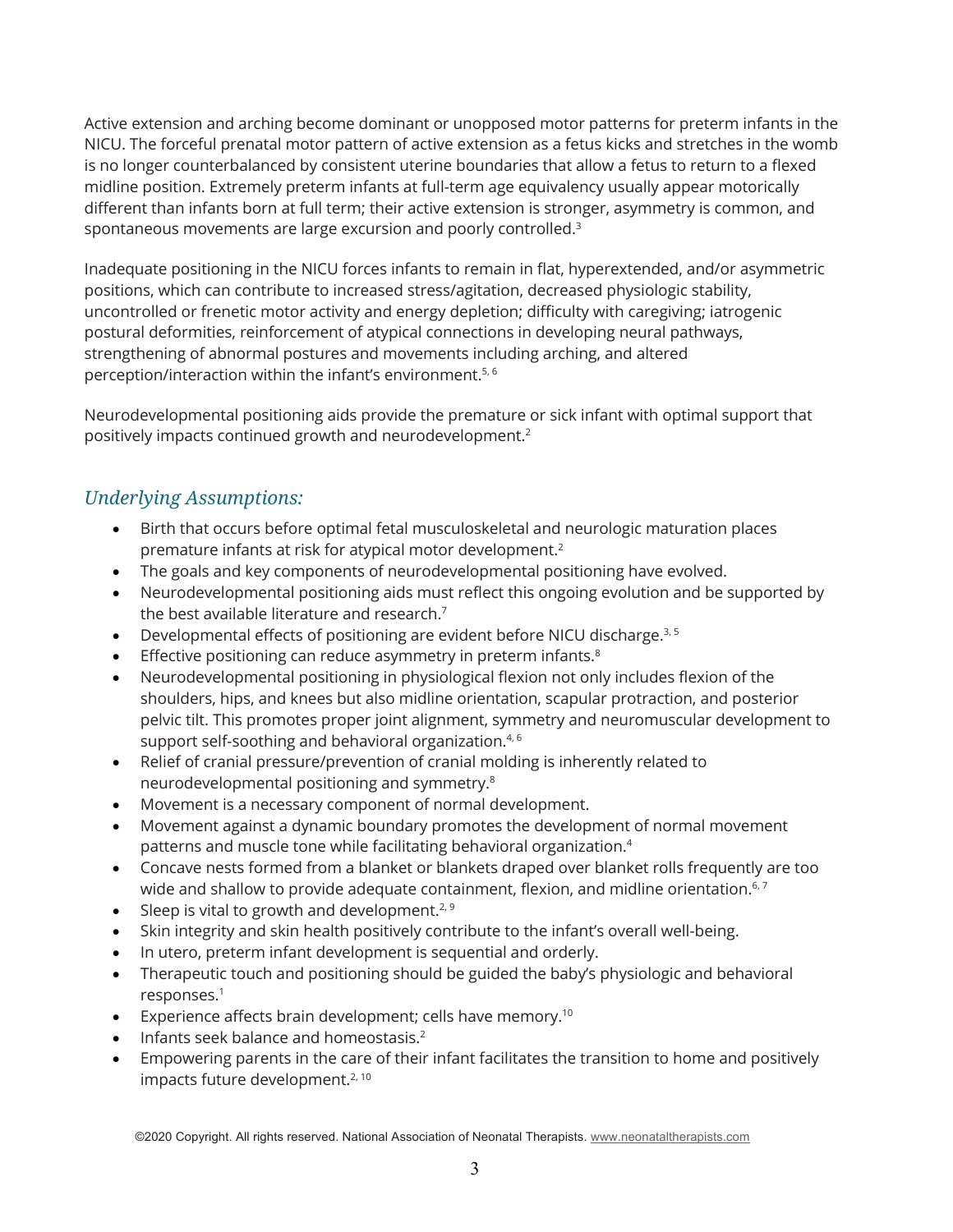Active extension and arching become dominant or unopposed motor patterns for preterm infants in the NICU. The forceful prenatal motor pattern of active extension as a fetus kicks and stretches in the womb is no longer counterbalanced by consistent uterine boundaries that allow a fetus to return to a flexed midline position. Extremely preterm infants at full-term age equivalency usually appear motorically different than infants born at full term; their active extension is stronger, asymmetry is common, and spontaneous movements are large excursion and poorly controlled. 3

Inadequate positioning in the NICU forces infants to remain in flat, hyperextended, and/or asymmetric positions, which can contribute to increased stress/agitation, decreased physiologic stability, uncontrolled or frenetic motor activity and energy depletion; difficulty with caregiving; iatrogenic postural deformities, reinforcement of atypical connections in developing neural pathways, strengthening of abnormal postures and movements including arching, and altered perception/interaction within the infant's environment.<sup>5, 6</sup>

Neurodevelopmental positioning aids provide the premature or sick infant with optimal support that positively impacts continued growth and neurodevelopment. 2

# *Underlying Assumptions:*

- Birth that occurs before optimal fetal musculoskeletal and neurologic maturation places premature infants at risk for atypical motor development. 2
- The goals and key components of neurodevelopmental positioning have evolved.
- Neurodevelopmental positioning aids must reflect this ongoing evolution and be supported by the best available literature and research.<sup>7</sup>
- Developmental effects of positioning are evident before NICU discharge.<sup>3, 5</sup>
- Effective positioning can reduce asymmetry in preterm infants.<sup>8</sup>
- Neurodevelopmental positioning in physiological flexion not only includes flexion of the shoulders, hips, and knees but also midline orientation, scapular protraction, and posterior pelvic tilt. This promotes proper joint alignment, symmetry and neuromuscular development to support self-soothing and behavioral organization.<sup>4, 6</sup>
- Relief of cranial pressure/prevention of cranial molding is inherently related to neurodevelopmental positioning and symmetry. 8
- Movement is a necessary component of normal development.
- Movement against a dynamic boundary promotes the development of normal movement patterns and muscle tone while facilitating behavioral organization. 4
- Concave nests formed from a blanket or blankets draped over blanket rolls frequently are too wide and shallow to provide adequate containment, flexion, and midline orientation. $^{\rm 6,7}$
- Sleep is vital to growth and development.<sup>2, 9</sup>
- Skin integrity and skin health positively contribute to the infant's overall well-being.
- In utero, preterm infant development is sequential and orderly.
- Therapeutic touch and positioning should be guided the baby's physiologic and behavioral responses.1
- **•** Experience affects brain development; cells have memory.<sup>10</sup>
- Infants seek balance and homeostasis.<sup>2</sup>
- Empowering parents in the care of their infant facilitates the transition to home and positively impacts future development.<sup>2, 10</sup>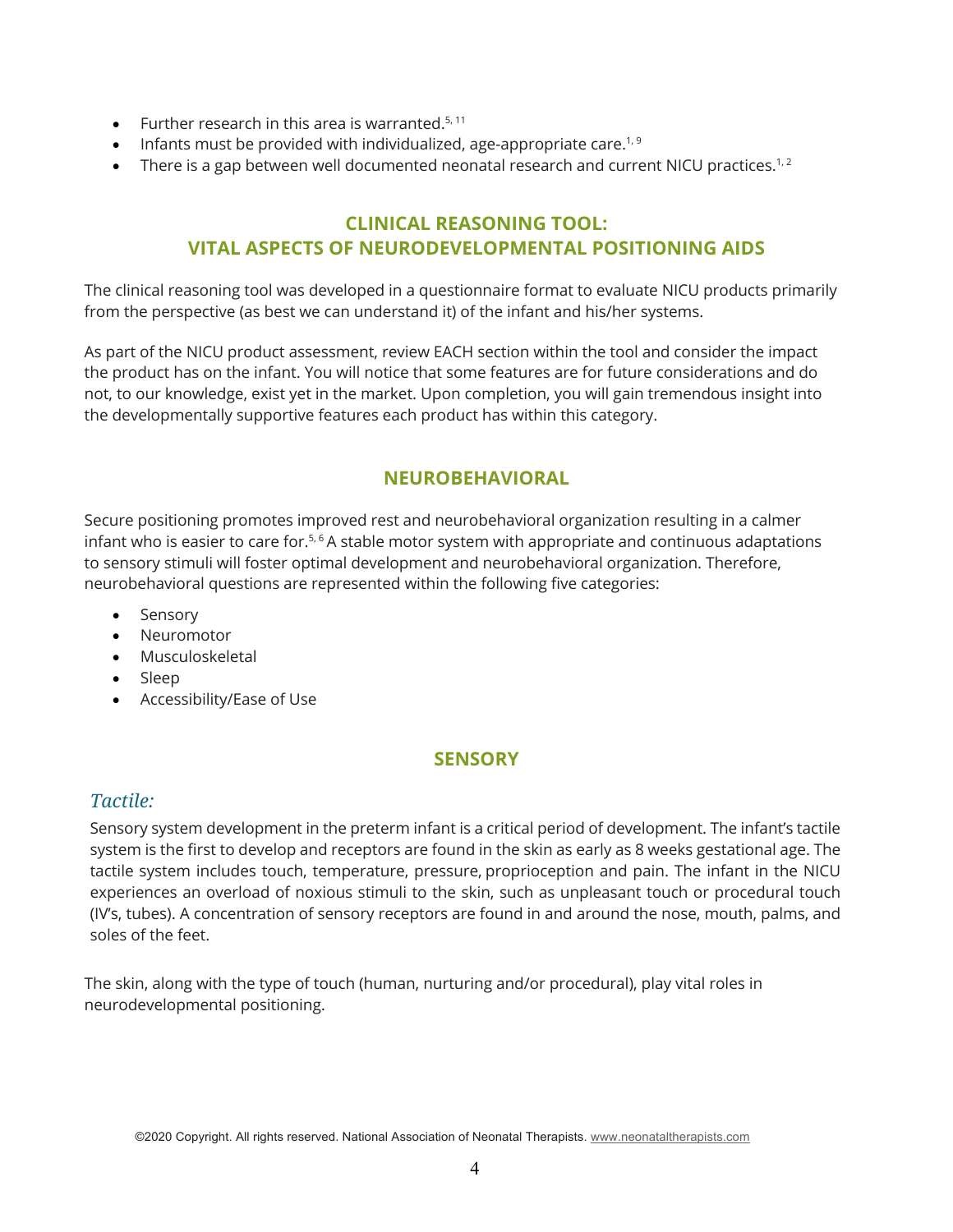- Further research in this area is warranted.<sup>5, 11</sup>
- Infants must be provided with individualized, age-appropriate care.<sup>1,9</sup>
- There is a gap between well documented neonatal research and current NICU practices.<sup>1,2</sup>

# **CLINICAL REASONING TOOL: VITAL ASPECTS OF NEURODEVELOPMENTAL POSITIONING AIDS**

The clinical reasoning tool was developed in a questionnaire format to evaluate NICU products primarily from the perspective (as best we can understand it) of the infant and his/her systems.

As part of the NICU product assessment, review EACH section within the tool and consider the impact the product has on the infant. You will notice that some features are for future considerations and do not, to our knowledge, exist yet in the market. Upon completion, you will gain tremendous insight into the developmentally supportive features each product has within this category.

# **NEUROBEHAVIORAL**

Secure positioning promotes improved rest and neurobehavioral organization resulting in a calmer infant who is easier to care for. $5.6$  A stable motor system with appropriate and continuous adaptations to sensory stimuli will foster optimal development and neurobehavioral organization. Therefore, neurobehavioral questions are represented within the following five categories:

- Sensory
- Neuromotor
- Musculoskeletal
- Sleep
- Accessibility/Ease of Use

## **SENSORY**

## *Tactile:*

Sensory system development in the preterm infant is a critical period of development. The infant's tactile system is the first to develop and receptors are found in the skin as early as 8 weeks gestational age. The tactile system includes touch, temperature, pressure, proprioception and pain. The infant in the NICU experiences an overload of noxious stimuli to the skin, such as unpleasant touch or procedural touch (IV's, tubes). A concentration of sensory receptors are found in and around the nose, mouth, palms, and soles of the feet.

The skin, along with the type of touch (human, nurturing and/or procedural), play vital roles in neurodevelopmental positioning.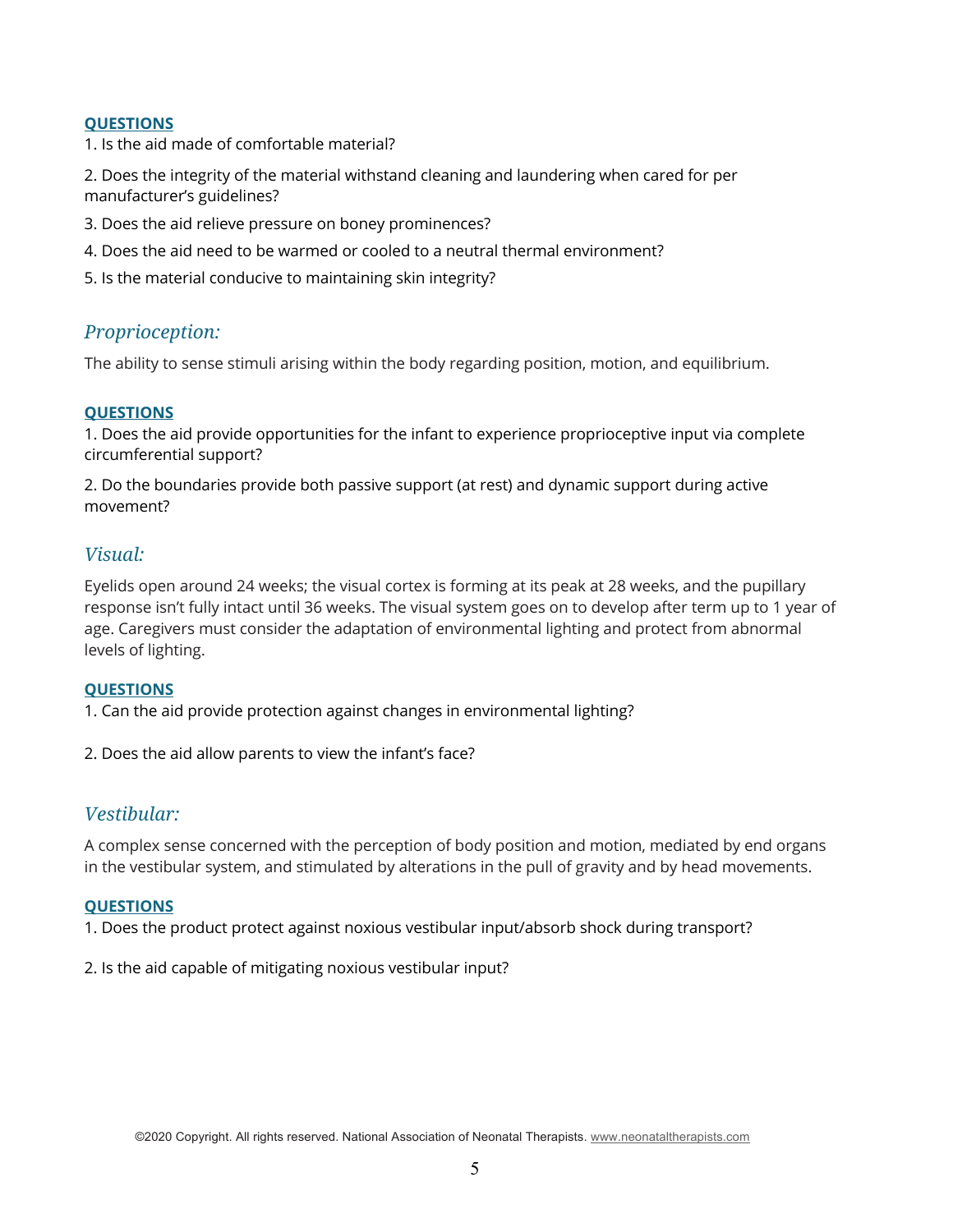#### **QUESTIONS**

1. Is the aid made of comfortable material?

2. Does the integrity of the material withstand cleaning and laundering when cared for per manufacturer's guidelines?

- 3. Does the aid relieve pressure on boney prominences?
- 4. Does the aid need to be warmed or cooled to a neutral thermal environment?
- 5. Is the material conducive to maintaining skin integrity?

## *Proprioception:*

The ability to sense stimuli arising within the body regarding position, motion, and equilibrium.

## **QUESTIONS**

1. Does the aid provide opportunities for the infant to experience proprioceptive input via complete circumferential support?

2. Do the boundaries provide both passive support (at rest) and dynamic support during active movement?

## *Visual:*

Eyelids open around 24 weeks; the visual cortex is forming at its peak at 28 weeks, and the pupillary response isn't fully intact until 36 weeks. The visual system goes on to develop after term up to 1 year of age. Caregivers must consider the adaptation of environmental lighting and protect from abnormal levels of lighting.

#### **QUESTIONS**

1. Can the aid provide protection against changes in environmental lighting?

2. Does the aid allow parents to view the infant's face?

## *Vestibular:*

A complex sense concerned with the perception of body position and motion, mediated by end organs in the vestibular system, and stimulated by alterations in the pull of gravity and by head movements.

#### **QUESTIONS**

1. Does the product protect against noxious vestibular input/absorb shock during transport?

2. Is the aid capable of mitigating noxious vestibular input?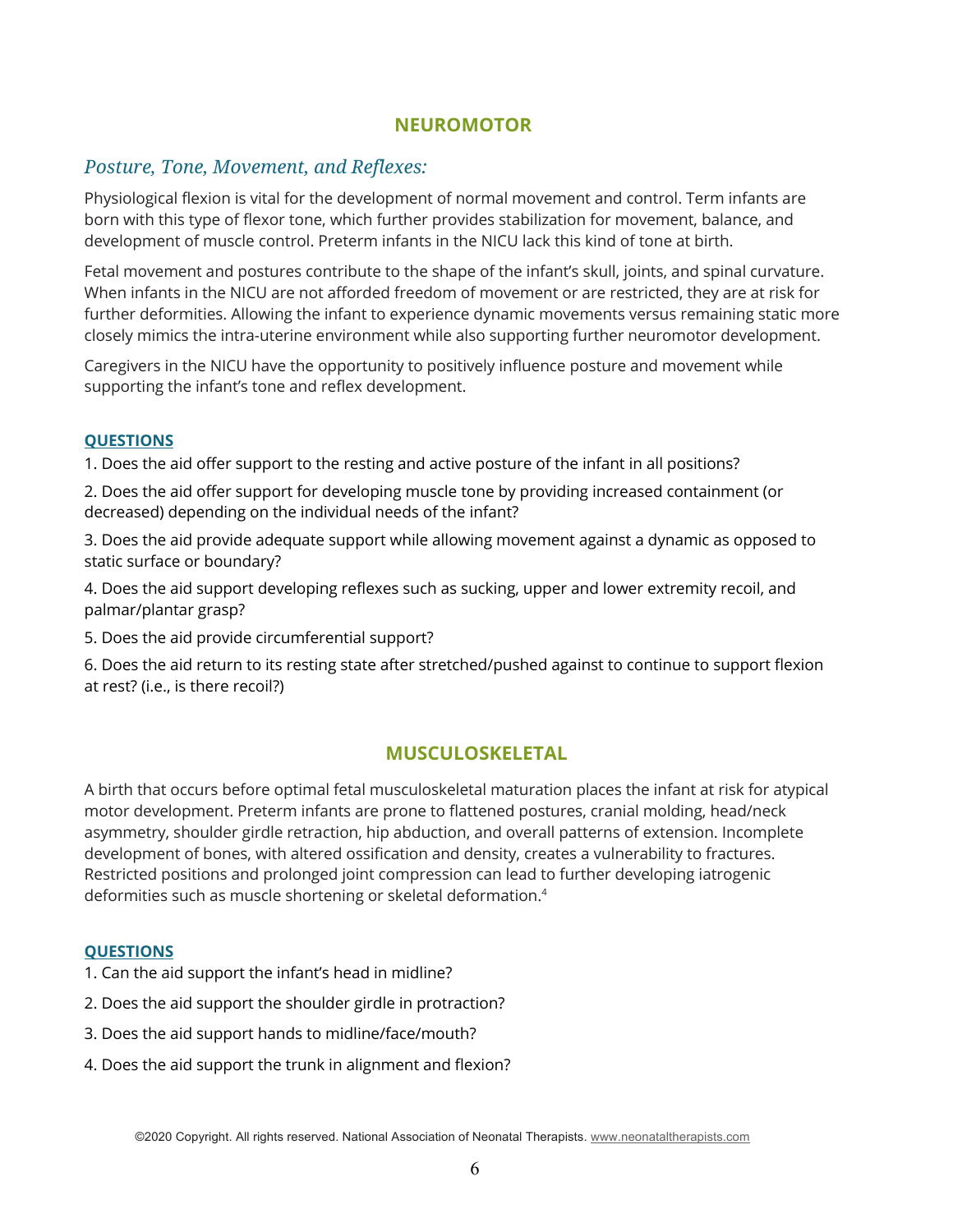## **NEUROMOTOR**

## *Posture, Tone, Movement, and Reflexes:*

Physiological flexion is vital for the development of normal movement and control. Term infants are born with this type of flexor tone, which further provides stabilization for movement, balance, and development of muscle control. Preterm infants in the NICU lack this kind of tone at birth.

Fetal movement and postures contribute to the shape of the infant's skull, joints, and spinal curvature. When infants in the NICU are not afforded freedom of movement or are restricted, they are at risk for further deformities. Allowing the infant to experience dynamic movements versus remaining static more closely mimics the intra-uterine environment while also supporting further neuromotor development.

Caregivers in the NICU have the opportunity to positively influence posture and movement while supporting the infant's tone and reflex development.

#### **QUESTIONS**

1. Does the aid offer support to the resting and active posture of the infant in all positions?

2. Does the aid offer support for developing muscle tone by providing increased containment (or decreased) depending on the individual needs of the infant?

3. Does the aid provide adequate support while allowing movement against a dynamic as opposed to static surface or boundary?

4. Does the aid support developing reflexes such as sucking, upper and lower extremity recoil, and palmar/plantar grasp?

5. Does the aid provide circumferential support?

6. Does the aid return to its resting state after stretched/pushed against to continue to support flexion at rest? (i.e., is there recoil?)

## **MUSCULOSKELETAL**

A birth that occurs before optimal fetal musculoskeletal maturation places the infant at risk for atypical motor development. Preterm infants are prone to flattened postures, cranial molding, head/neck asymmetry, shoulder girdle retraction, hip abduction, and overall patterns of extension. Incomplete development of bones, with altered ossification and density, creates a vulnerability to fractures. Restricted positions and prolonged joint compression can lead to further developing iatrogenic deformities such as muscle shortening or skeletal deformation. 4

#### **QUESTIONS**

- 1. Can the aid support the infant's head in midline?
- 2. Does the aid support the shoulder girdle in protraction?
- 3. Does the aid support hands to midline/face/mouth?
- 4. Does the aid support the trunk in alignment and flexion?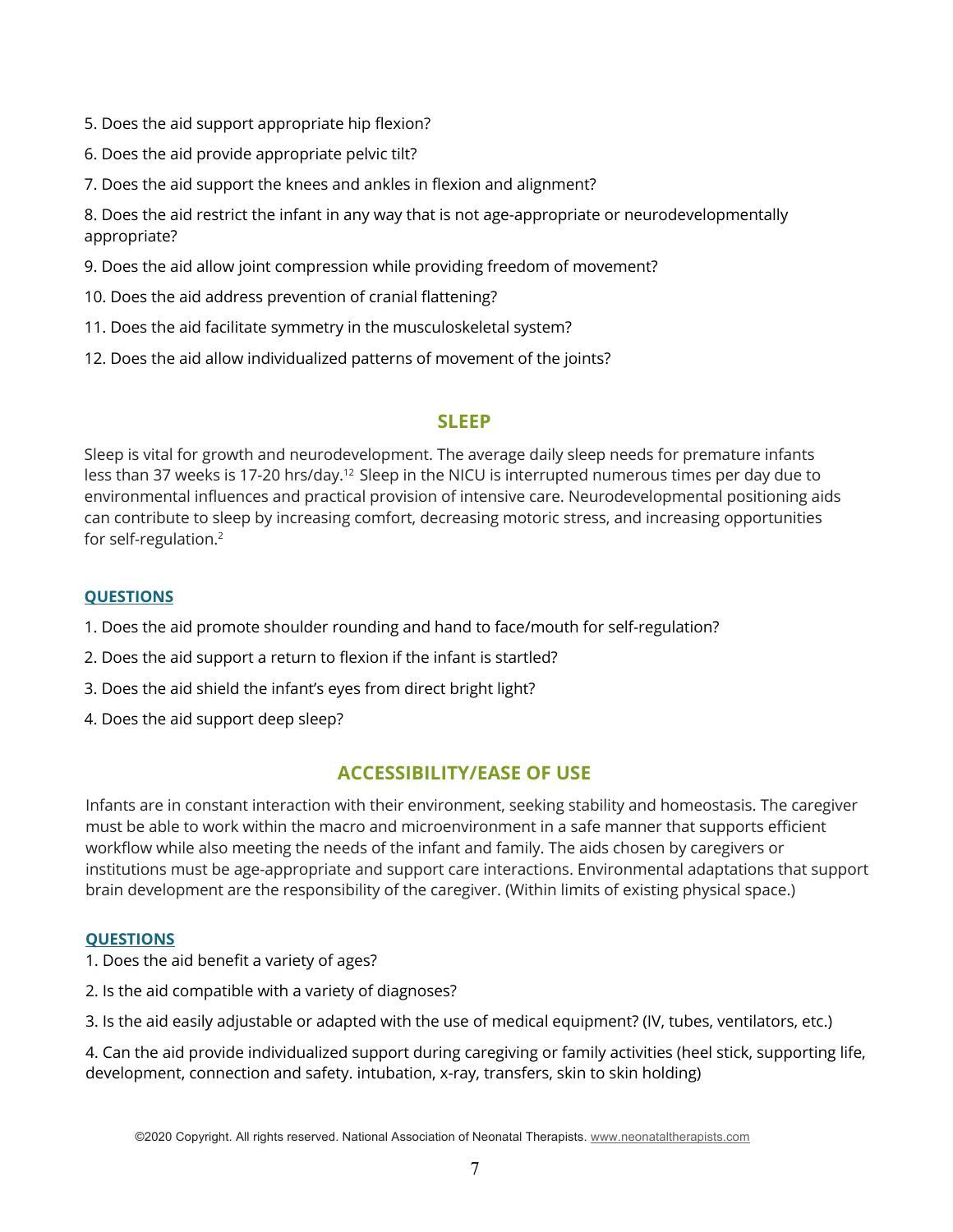- 5. Does the aid support appropriate hip flexion?
- 6. Does the aid provide appropriate pelvic tilt?
- 7. Does the aid support the knees and ankles in flexion and alignment?

8. Does the aid restrict the infant in any way that is not age-appropriate or neurodevelopmentally appropriate?

9. Does the aid allow joint compression while providing freedom of movement?

- 10. Does the aid address prevention of cranial flattening?
- 11. Does the aid facilitate symmetry in the musculoskeletal system?
- 12. Does the aid allow individualized patterns of movement of the joints?

## **SLEEP**

Sleep is vital for growth and neurodevelopment. The average daily sleep needs for premature infants less than 37 weeks is 17-20 hrs/day.<sup>12</sup> Sleep in the NICU is interrupted numerous times per day due to environmental influences and practical provision of intensive care. Neurodevelopmental positioning aids can contribute to sleep by increasing comfort, decreasing motoric stress, and increasing opportunities for self-regulation. 2

## **QUESTIONS**

- 1. Does the aid promote shoulder rounding and hand to face/mouth for self-regulation?
- 2. Does the aid support a return to flexion if the infant is startled?
- 3. Does the aid shield the infant's eyes from direct bright light?
- 4. Does the aid support deep sleep?

# **ACCESSIBILITY/EASE OF USE**

Infants are in constant interaction with their environment, seeking stability and homeostasis. The caregiver must be able to work within the macro and microenvironment in a safe manner that supports efficient workflow while also meeting the needs of the infant and family. The aids chosen by caregivers or institutions must be age-appropriate and support care interactions. Environmental adaptations that support brain development are the responsibility of the caregiver. (Within limits of existing physical space.)

## **QUESTIONS**

1. Does the aid benefit a variety of ages?

- 2. Is the aid compatible with a variety of diagnoses?
- 3. Is the aid easily adjustable or adapted with the use of medical equipment? (IV, tubes, ventilators, etc.)

4. Can the aid provide individualized support during caregiving or family activities (heel stick, supporting life, development, connection and safety. intubation, x-ray, transfers, skin to skin holding)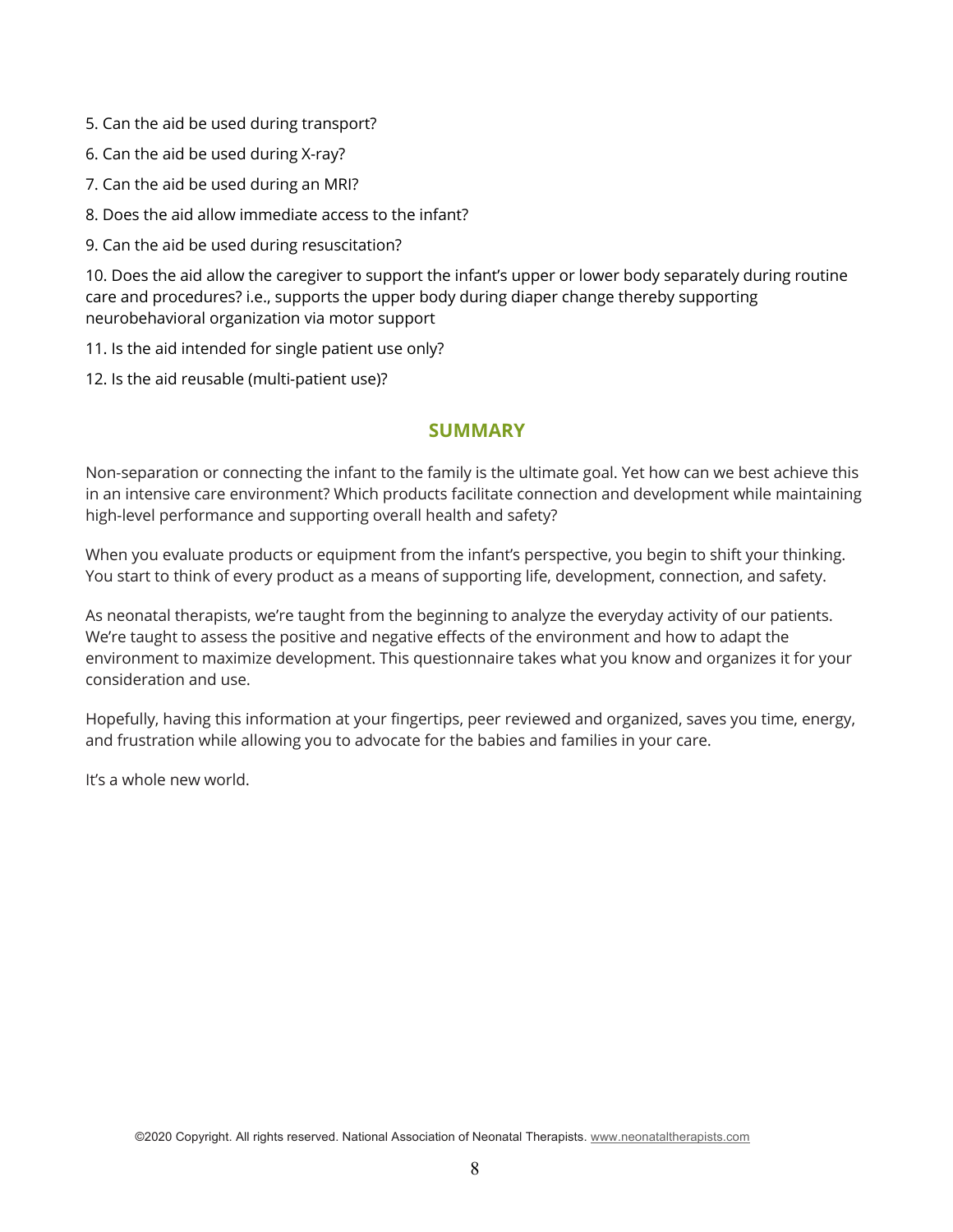- 5. Can the aid be used during transport?
- 6. Can the aid be used during X-ray?
- 7. Can the aid be used during an MRI?
- 8. Does the aid allow immediate access to the infant?
- 9. Can the aid be used during resuscitation?

10. Does the aid allow the caregiver to support the infant's upper or lower body separately during routine care and procedures? i.e., supports the upper body during diaper change thereby supporting neurobehavioral organization via motor support

- 11. Is the aid intended for single patient use only?
- 12. Is the aid reusable (multi-patient use)?

## **SUMMARY**

Non-separation or connecting the infant to the family is the ultimate goal. Yet how can we best achieve this in an intensive care environment? Which products facilitate connection and development while maintaining high-level performance and supporting overall health and safety?

When you evaluate products or equipment from the infant's perspective, you begin to shift your thinking. You start to think of every product as a means of supporting life, development, connection, and safety.

As neonatal therapists, we're taught from the beginning to analyze the everyday activity of our patients. We're taught to assess the positive and negative effects of the environment and how to adapt the environment to maximize development. This questionnaire takes what you know and organizes it for your consideration and use.

Hopefully, having this information at your fingertips, peer reviewed and organized, saves you time, energy, and frustration while allowing you to advocate for the babies and families in your care.

It's a whole new world.